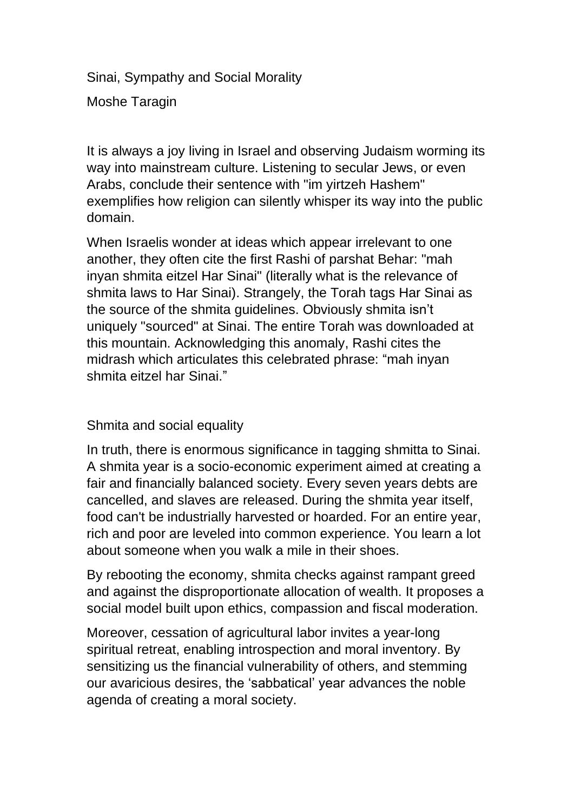Sinai, Sympathy and Social Morality Moshe Taragin

It is always a joy living in Israel and observing Judaism worming its way into mainstream culture. Listening to secular Jews, or even Arabs, conclude their sentence with "im yirtzeh Hashem" exemplifies how religion can silently whisper its way into the public domain.

When Israelis wonder at ideas which appear irrelevant to one another, they often cite the first Rashi of parshat Behar: "mah inyan shmita eitzel Har Sinai" (literally what is the relevance of shmita laws to Har Sinai). Strangely, the Torah tags Har Sinai as the source of the shmita guidelines. Obviously shmita isn't uniquely "sourced" at Sinai. The entire Torah was downloaded at this mountain. Acknowledging this anomaly, Rashi cites the midrash which articulates this celebrated phrase: "mah inyan shmita eitzel har Sinai."

### Shmita and social equality

In truth, there is enormous significance in tagging shmitta to Sinai. A shmita year is a socio-economic experiment aimed at creating a fair and financially balanced society. Every seven years debts are cancelled, and slaves are released. During the shmita year itself, food can't be industrially harvested or hoarded. For an entire year, rich and poor are leveled into common experience. You learn a lot about someone when you walk a mile in their shoes.

By rebooting the economy, shmita checks against rampant greed and against the disproportionate allocation of wealth. It proposes a social model built upon ethics, compassion and fiscal moderation.

Moreover, cessation of agricultural labor invites a year-long spiritual retreat, enabling introspection and moral inventory. By sensitizing us the financial vulnerability of others, and stemming our avaricious desires, the 'sabbatical' year advances the noble agenda of creating a moral society.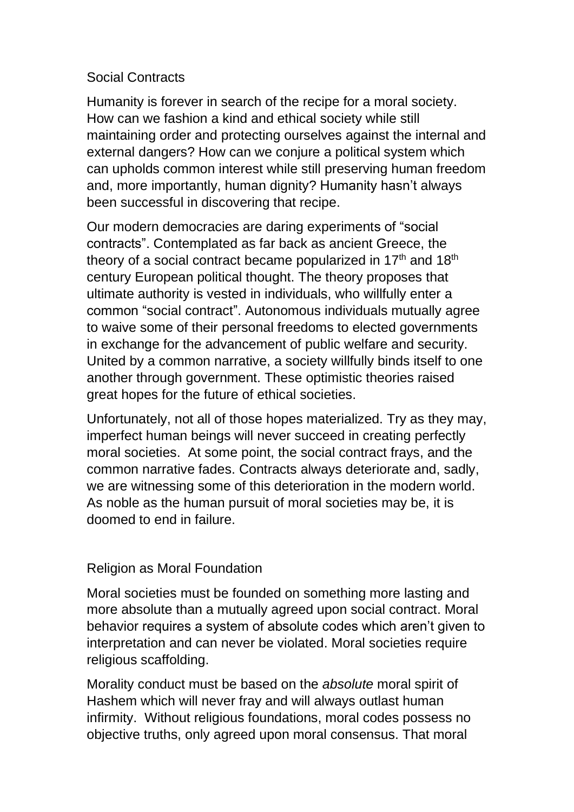# Social Contracts

Humanity is forever in search of the recipe for a moral society. How can we fashion a kind and ethical society while still maintaining order and protecting ourselves against the internal and external dangers? How can we conjure a political system which can upholds common interest while still preserving human freedom and, more importantly, human dignity? Humanity hasn't always been successful in discovering that recipe.

Our modern democracies are daring experiments of "social contracts". Contemplated as far back as ancient Greece, the theory of a social contract became popularized in  $17<sup>th</sup>$  and  $18<sup>th</sup>$ century European political thought. The theory proposes that ultimate authority is vested in individuals, who willfully enter a common "social contract". Autonomous individuals mutually agree to waive some of their personal freedoms to elected governments in exchange for the advancement of public welfare and security. United by a common narrative, a society willfully binds itself to one another through government. These optimistic theories raised great hopes for the future of ethical societies.

Unfortunately, not all of those hopes materialized. Try as they may, imperfect human beings will never succeed in creating perfectly moral societies. At some point, the social contract frays, and the common narrative fades. Contracts always deteriorate and, sadly, we are witnessing some of this deterioration in the modern world. As noble as the human pursuit of moral societies may be, it is doomed to end in failure.

### Religion as Moral Foundation

Moral societies must be founded on something more lasting and more absolute than a mutually agreed upon social contract. Moral behavior requires a system of absolute codes which aren't given to interpretation and can never be violated. Moral societies require religious scaffolding.

Morality conduct must be based on the *absolute* moral spirit of Hashem which will never fray and will always outlast human infirmity. Without religious foundations, moral codes possess no objective truths, only agreed upon moral consensus. That moral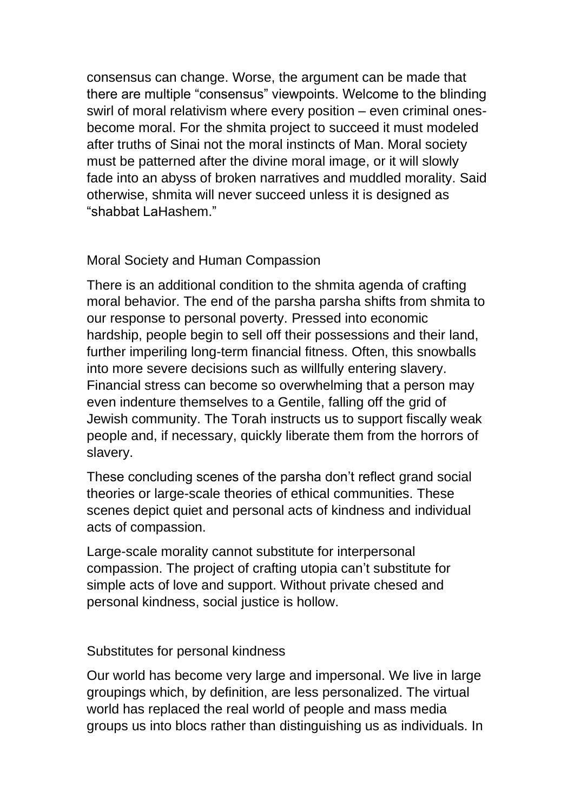consensus can change. Worse, the argument can be made that there are multiple "consensus" viewpoints. Welcome to the blinding swirl of moral relativism where every position – even criminal onesbecome moral. For the shmita project to succeed it must modeled after truths of Sinai not the moral instincts of Man. Moral society must be patterned after the divine moral image, or it will slowly fade into an abyss of broken narratives and muddled morality. Said otherwise, shmita will never succeed unless it is designed as "shabbat LaHashem."

# Moral Society and Human Compassion

There is an additional condition to the shmita agenda of crafting moral behavior. The end of the parsha parsha shifts from shmita to our response to personal poverty. Pressed into economic hardship, people begin to sell off their possessions and their land, further imperiling long-term financial fitness. Often, this snowballs into more severe decisions such as willfully entering slavery. Financial stress can become so overwhelming that a person may even indenture themselves to a Gentile, falling off the grid of Jewish community. The Torah instructs us to support fiscally weak people and, if necessary, quickly liberate them from the horrors of slavery.

These concluding scenes of the parsha don't reflect grand social theories or large-scale theories of ethical communities. These scenes depict quiet and personal acts of kindness and individual acts of compassion.

Large-scale morality cannot substitute for interpersonal compassion. The project of crafting utopia can't substitute for simple acts of love and support. Without private chesed and personal kindness, social justice is hollow.

### Substitutes for personal kindness

Our world has become very large and impersonal. We live in large groupings which, by definition, are less personalized. The virtual world has replaced the real world of people and mass media groups us into blocs rather than distinguishing us as individuals. In